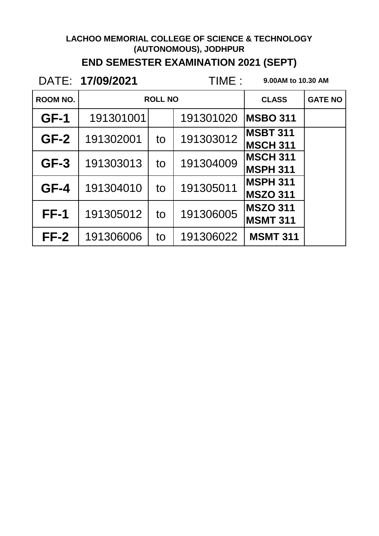### **END SEMESTER EXAMINATION 2021 (SEPT)**

DATE: 17/09/2021

**17/09/2021 9.00AM to 10.30 AM**

| <b>ROOM NO.</b> | <b>ROLL NO</b> |    |           | <b>CLASS</b>                       | <b>GATE NO</b> |
|-----------------|----------------|----|-----------|------------------------------------|----------------|
| $GF-1$          | 191301001      |    | 191301020 | <b>MSBO 311</b>                    |                |
| $GF-2$          | 191302001      | to | 191303012 | <b>MSBT 311</b><br><b>MSCH 311</b> |                |
| $GF-3$          | 191303013      | to | 191304009 | <b>MSCH 311</b><br><b>MSPH 311</b> |                |
| $GF-4$          | 191304010      | to | 191305011 | <b>MSPH 311</b><br><b>MSZO 311</b> |                |
| <b>FF-1</b>     | 191305012      | to | 191306005 | <b>MSZO 311</b><br><b>MSMT 311</b> |                |
| $FF-2$          | 191306006      | to | 191306022 | <b>MSMT 311</b>                    |                |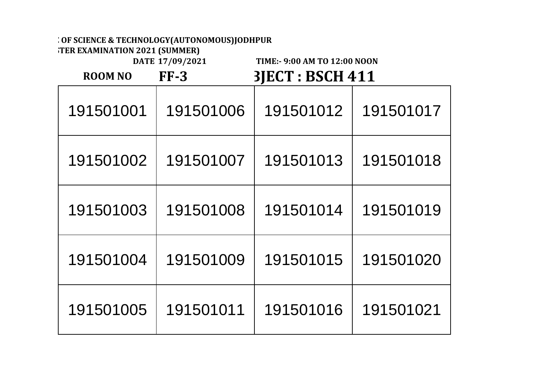**END SEMESTER EXAMINATION 2021 (SUMMER)**

|                | DATE 17/09/2021 | TIME:- 9:00 AM TO 12:00 NOON |           |  |
|----------------|-----------------|------------------------------|-----------|--|
| <b>ROOM NO</b> | $FF-3$          | <b>3JECT : BSCH 411</b>      |           |  |
| 191501001      | 191501006       | 191501012                    | 191501017 |  |
| 191501002      | 191501007       | 191501013                    | 191501018 |  |
| 191501003      | 191501008       | 191501014                    | 191501019 |  |
| 191501004      | 191501009       | 191501015                    | 191501020 |  |
| 191501005      | 191501011       | 191501016                    | 191501021 |  |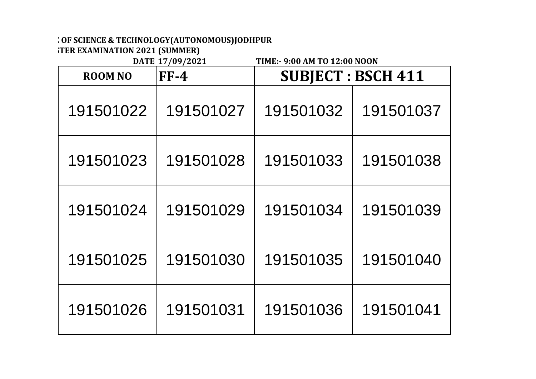**FER EXAMINATION 2021 (SUMMER)**<br>DATE 17/09/2021

**DATE 17/09/2021 TIME:- 9:00 AM TO 12:00 NOON**  $R_{\text{OOLALO}}$  **FF**  $\boldsymbol{A}$ CUBIECT **BCCH 444** 

| <b>KUUM NU</b> | r F-4     |           | SUBJECI : BSCH 411 |
|----------------|-----------|-----------|--------------------|
| 191501022      | 191501027 | 191501032 | 191501037          |
| 191501023      | 191501028 | 191501033 | 191501038          |
| 191501024      | 191501029 | 191501034 | 191501039          |
| 191501025      | 191501030 | 191501035 | 191501040          |
| 191501026      | 191501031 | 191501036 | 191501041          |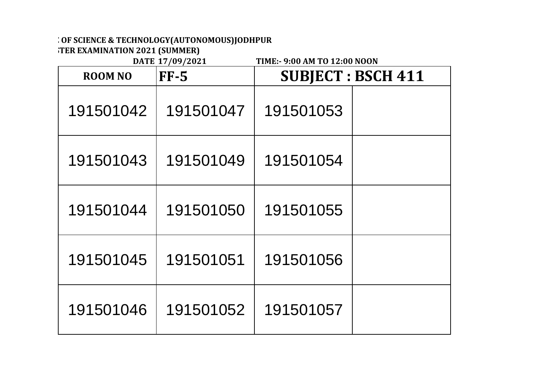**FER EXAMINATION 2021 (SUMMER)**<br>DATE 17/09/2021

| <b>ROOM NO</b> | DIIIL 1770774041<br>$FF-5$ |           | <b>SUBJECT : BSCH 411</b> |
|----------------|----------------------------|-----------|---------------------------|
| 191501042      | 191501047                  | 191501053 |                           |
| 191501043      | 191501049                  | 191501054 |                           |
| 191501044      | 191501050                  | 191501055 |                           |
| 191501045      | 191501051                  | 191501056 |                           |
| 191501046      | 191501052                  | 191501057 |                           |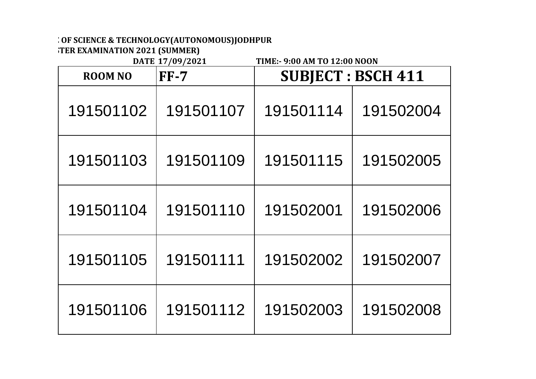**END SEMESTER EXAMINATION 2021 (SUMMER)**

|                | DATE 17/09/2021<br>TIME:- 9:00 AM TO 12:00 NOON |                           |           |  |  |
|----------------|-------------------------------------------------|---------------------------|-----------|--|--|
| <b>ROOM NO</b> | $FF-7$                                          | <b>SUBJECT : BSCH 411</b> |           |  |  |
| 191501102      | 191501107                                       | 191501114                 | 191502004 |  |  |
| 191501103      | 191501109                                       | 191501115                 | 191502005 |  |  |
| 191501104      | 191501110                                       | 191502001                 | 191502006 |  |  |
| 191501105      | 191501111                                       | 191502002                 | 191502007 |  |  |
| 191501106      | 191501112                                       | 191502003                 | 191502008 |  |  |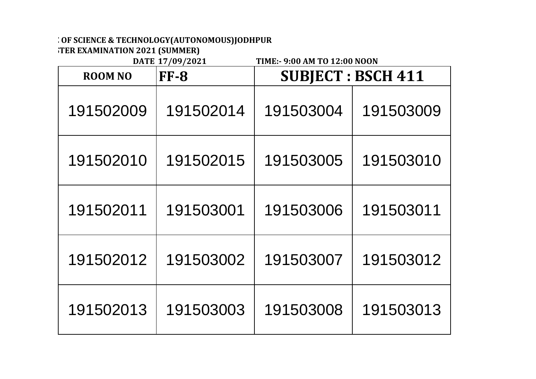**FER EXAMINATION 2021 (SUMMER)**<br>DATE 17/09/2021

| <b>ROOM NO</b> | $\frac{1}{2}$<br><b>FF-8</b> |           | <b>SUBJECT : BSCH 411</b> |
|----------------|------------------------------|-----------|---------------------------|
| 191502009      | 191502014                    | 191503004 | 191503009                 |
| 191502010      | 191502015                    | 191503005 | 191503010                 |
| 191502011      | 191503001                    | 191503006 | 191503011                 |
| 191502012      | 191503002                    | 191503007 | 191503012                 |
| 191502013      | 191503003                    | 191503008 | 191503013                 |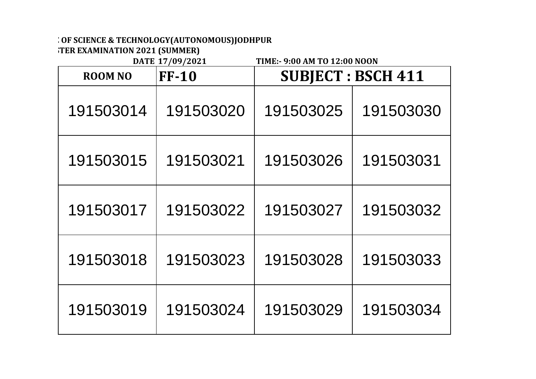**FER EXAMINATION 2021 (SUMMER)**<br>DATE 17/09/2021

| <b>ROOM NO</b> | DIIIL 1770774041<br><b>FF-10</b> |           | <b>SUBJECT: BSCH 411</b> |
|----------------|----------------------------------|-----------|--------------------------|
| 191503014      | 191503020                        | 191503025 | 191503030                |
| 191503015      | 191503021                        | 191503026 | 191503031                |
| 191503017      | 191503022                        | 191503027 | 191503032                |
| 191503018      | 191503023                        | 191503028 | 191503033                |
| 191503019      | 191503024                        | 191503029 | 191503034                |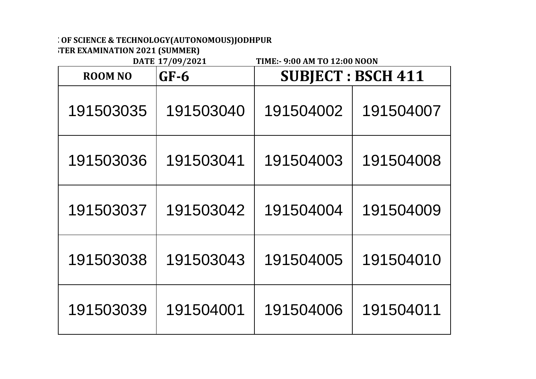**FER EXAMINATION 2021 (SUMMER)**<br>DATE 17/09/2021

| <b>ROOM NO</b> | P(1111111)<br>$GF-6$ |           | <b>SUBJECT : BSCH 411</b> |
|----------------|----------------------|-----------|---------------------------|
| 191503035      | 191503040            | 191504002 | 191504007                 |
| 191503036      | 191503041            | 191504003 | 191504008                 |
| 191503037      | 191503042            | 191504004 | 191504009                 |
| 191503038      | 191503043            | 191504005 | 191504010                 |
| 191503039      | 191504001            | 191504006 | 191504011                 |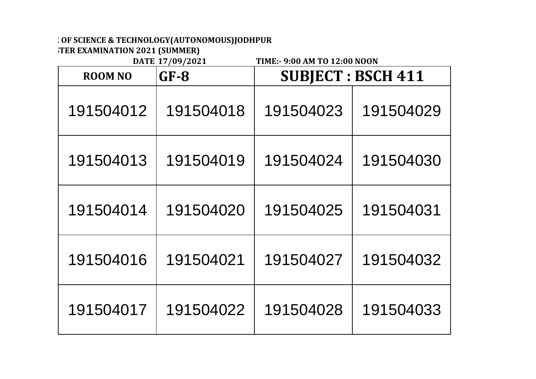**FER EXAMINATION 2021 (SUMMER)**<br>DATE 17/09/2021

| <b>ROOM NO</b> | P(1111111)<br>$GF-8$ |           | <b>SUBJECT: BSCH 411</b> |
|----------------|----------------------|-----------|--------------------------|
| 191504012      | 191504018            | 191504023 | 191504029                |
| 191504013      | 191504019            | 191504024 | 191504030                |
| 191504014      | 191504020            | 191504025 | 191504031                |
| 191504016      | 191504021            | 191504027 | 191504032                |
| 191504017      | 191504022            | 191504028 | 191504033                |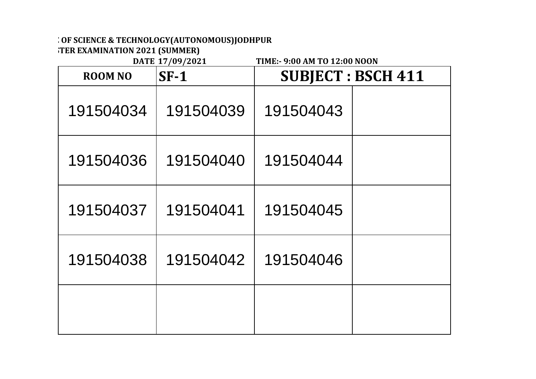**END SEMESTER EXAMINATION 2021 (SUMMER)**

|                | DATE 17/09/2021<br>TIME: - 9:00 AM TO 12:00 NOON |           |                           |  |  |
|----------------|--------------------------------------------------|-----------|---------------------------|--|--|
| <b>ROOM NO</b> | $SF-1$                                           |           | <b>SUBJECT : BSCH 411</b> |  |  |
| 191504034      | 191504039                                        | 191504043 |                           |  |  |
| 191504036      | 191504040                                        | 191504044 |                           |  |  |
| 191504037      | 191504041                                        | 191504045 |                           |  |  |
| 191504038      | 191504042                                        | 191504046 |                           |  |  |
|                |                                                  |           |                           |  |  |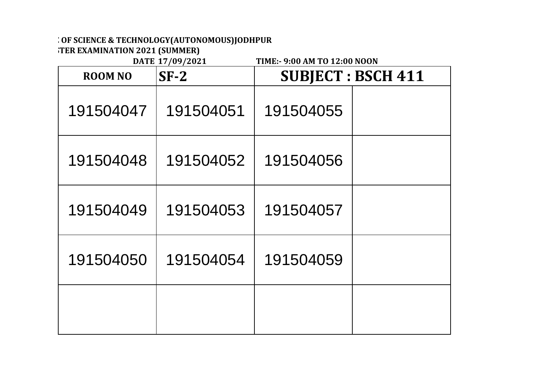**FER EXAMINATION 2021 (SUMMER)**<br>DATE 17/09/2021

| <b>ROOM NO</b> | DIIIU 1770774041<br>$SF-2$ | <b>SUBJECT: BSCH 411</b> |  |
|----------------|----------------------------|--------------------------|--|
| 191504047      | 191504051                  | 191504055                |  |
| 191504048      | 191504052                  | 191504056                |  |
| 191504049      | 191504053                  | 191504057                |  |
| 191504050      | 191504054                  | 191504059                |  |
|                |                            |                          |  |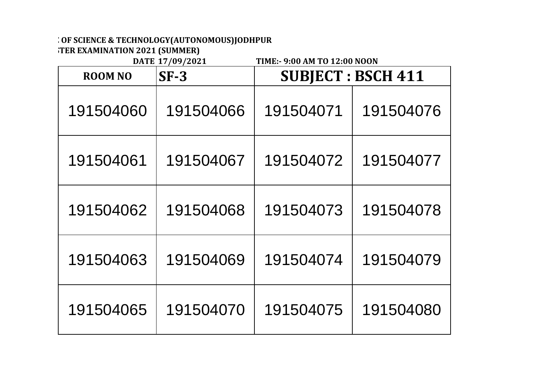**FER EXAMINATION 2021 (SUMMER)**<br>DATE 17/09/2021

| <b>ROOM NO</b> | $SF-3$    | <b>SUBJECT : BSCH 411</b> |           |
|----------------|-----------|---------------------------|-----------|
| 191504060      | 191504066 | 191504071                 | 191504076 |
| 191504061      | 191504067 | 191504072                 | 191504077 |
| 191504062      | 191504068 | 191504073                 | 191504078 |
| 191504063      | 191504069 | 191504074                 | 191504079 |
| 191504065      | 191504070 | 191504075                 | 191504080 |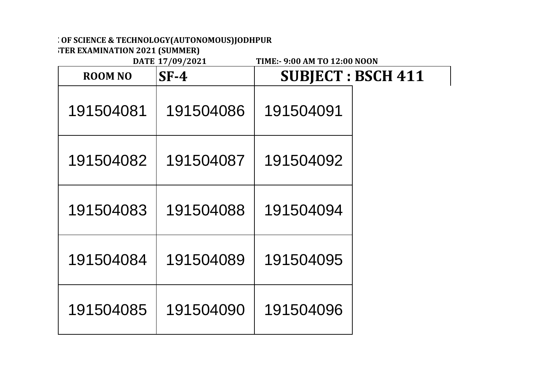**END SEMESTER EXAMINATION 2021 (SUMMER)**

| DATE 17/09/2021<br>TIME:- 9:00 AM TO 12:00 NOON |           |           |                           |
|-------------------------------------------------|-----------|-----------|---------------------------|
| <b>ROOM NO</b>                                  | $SF-4$    |           | <b>SUBJECT : BSCH 411</b> |
| 191504081                                       | 191504086 | 191504091 |                           |
| 191504082                                       | 191504087 | 191504092 |                           |
| 191504083                                       | 191504088 | 191504094 |                           |
| 191504084                                       | 191504089 | 191504095 |                           |
| 191504085                                       | 191504090 | 191504096 |                           |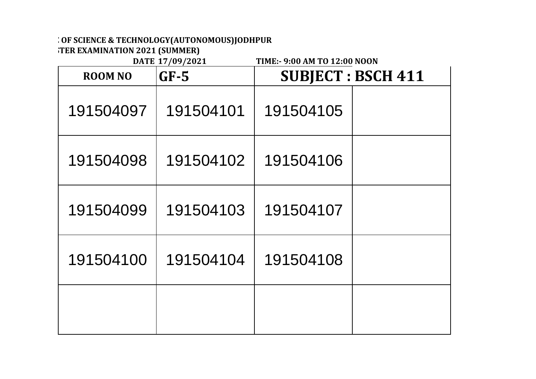**END SEMESTER EXAMINATION 2021 (SUMMER)**

| DATE 17/09/2021<br>TIME:- 9:00 AM TO 12:00 NOON |           |                          |  |
|-------------------------------------------------|-----------|--------------------------|--|
| <b>ROOM NO</b>                                  | $GF-5$    | <b>SUBJECT: BSCH 411</b> |  |
| 191504097                                       | 191504101 | 191504105                |  |
| 191504098                                       | 191504102 | 191504106                |  |
| 191504099                                       | 191504103 | 191504107                |  |
| 191504100                                       | 191504104 | 191504108                |  |
|                                                 |           |                          |  |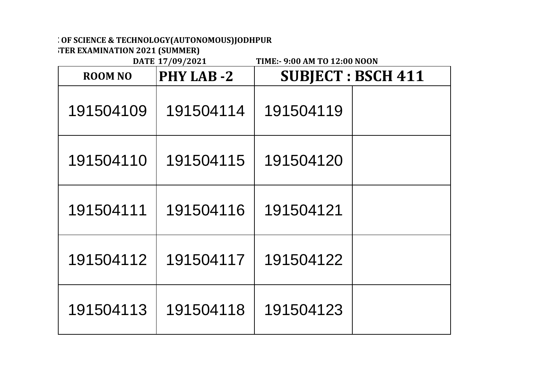**FIER EXAMINATION 2021 (SUMMER)** 

| <b>ROOM NO</b> | <b>PHY LAB-2</b> | <b>SUBJECT: BSCH 411</b> |  |
|----------------|------------------|--------------------------|--|
| 191504109      | 191504114        | 191504119                |  |
| 191504110      | 191504115        | 191504120                |  |
| 191504111      | 191504116        | 191504121                |  |
| 191504112      | 191504117        | 191504122                |  |
| 191504113      | 191504118        | 191504123                |  |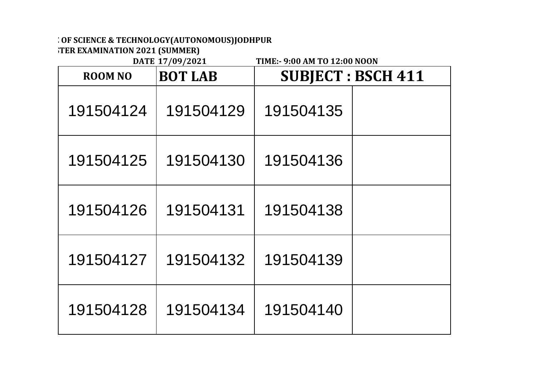**FIER EXAMINATION 2021 (SUMMER)** 

| <b>ROOM NO</b> | <b>BOT LAB</b> | <b>SUBJECT : BSCH 411</b> |  |
|----------------|----------------|---------------------------|--|
| 191504124      | 191504129      | 191504135                 |  |
| 191504125      | 191504130      | 191504136                 |  |
| 191504126      | 191504131      | 191504138                 |  |
| 191504127      | 191504132      | 191504139                 |  |
| 191504128      | 191504134      | 191504140                 |  |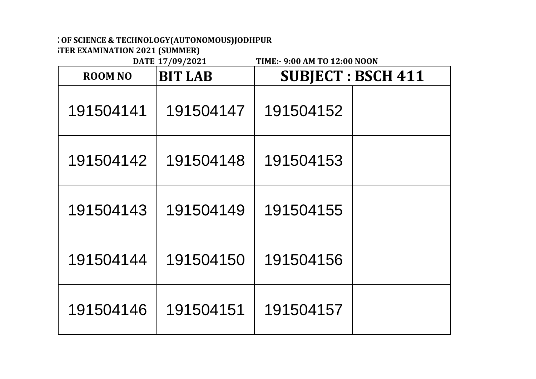**FER EXAMINATION 2021 (SUMMER)**<br>DATE 17/09/2021

| <b>ROOM NO</b> | <b>BIT LAB</b> |           | <b>SUBJECT : BSCH 411</b> |
|----------------|----------------|-----------|---------------------------|
| 191504141      | 191504147      | 191504152 |                           |
| 191504142      | 191504148      | 191504153 |                           |
| 191504143      | 191504149      | 191504155 |                           |
| 191504144      | 191504150      | 191504156 |                           |
| 191504146      | 191504151      | 191504157 |                           |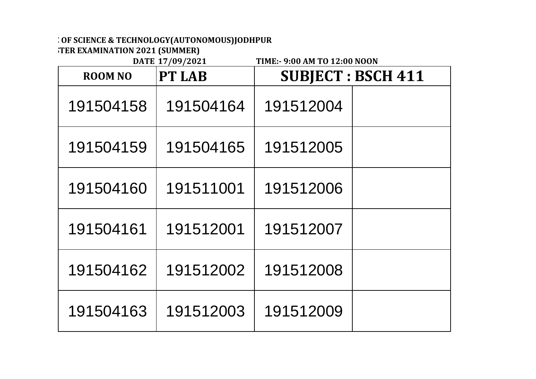**FER EXAMINATION 2021 (SUMMER)**<br>DATE 17/09/2021

| <b>ROOM NO</b> | <b>PT LAB</b> |           | <b>SUBJECT : BSCH 411</b> |
|----------------|---------------|-----------|---------------------------|
| 191504158      | 191504164     | 191512004 |                           |
| 191504159      | 191504165     | 191512005 |                           |
| 191504160      | 191511001     | 191512006 |                           |
| 191504161      | 191512001     | 191512007 |                           |
| 191504162      | 191512002     | 191512008 |                           |
| 191504163      | 191512003     | 191512009 |                           |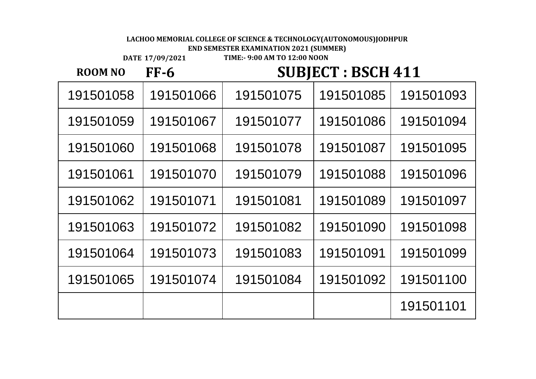**END SEMESTER EXAMINATION 2021 (SUMMER)**

**DATE 17/09/2021**

**TIME:- 9:00 AM TO 12:00 NOON**

**ROOM NO FF-6**

# **SUBJECT : BSCH 411**

 191501066 191501075 191501085 191501093 191501067 191501077 191501086 191501094 191501068 191501078 191501087 191501095 191501070 191501079 191501088 191501096 191501071 191501081 191501089 191501097 191501072 191501082 191501090 191501098 191501064 191501073 191501083 191501091 191501099 191501074 191501084 191501092 191501100 191501101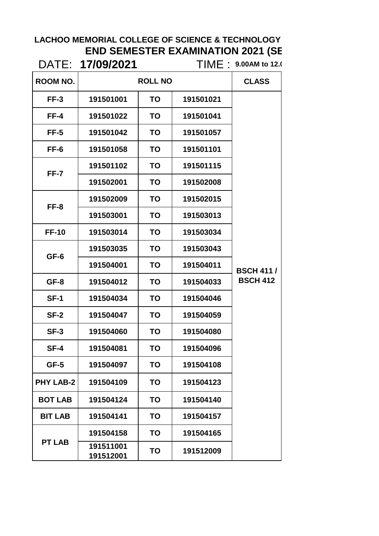# **LACHOO MEMORIAL COLLEGE OF SCIENCE & TECHNOLOGY END SEMESTER EXAMINATION 2021 (SE**<br>17/00/0004

|                  | DATE: 17/09/2021       |                |           | TIME : 9.00AM to 12.0               |
|------------------|------------------------|----------------|-----------|-------------------------------------|
| ROOM NO.         |                        | <b>ROLL NO</b> |           | <b>CLASS</b>                        |
| $FF-3$           | 191501001              | <b>TO</b>      | 191501021 |                                     |
| FF-4             | 191501022              | TO             | 191501041 |                                     |
| FF-5             | 191501042              | <b>TO</b>      | 191501057 |                                     |
| FF-6             | 191501058              | <b>TO</b>      | 191501101 |                                     |
|                  | 191501102              | <b>TO</b>      | 191501115 |                                     |
| FF-7             | 191502001              | <b>TO</b>      | 191502008 |                                     |
|                  | 191502009              | <b>TO</b>      | 191502015 |                                     |
| FF-8             | 191503001              | <b>TO</b>      | 191503013 |                                     |
| <b>FF-10</b>     | 191503014              | <b>TO</b>      | 191503034 | <b>BSCH 411/</b><br><b>BSCH 412</b> |
| GF-6             | 191503035              | TO             | 191503043 |                                     |
|                  | 191504001              | <b>TO</b>      | 191504011 |                                     |
| GF-8             | 191504012              | <b>TO</b>      | 191504033 |                                     |
| <b>SF-1</b>      | 191504034              | <b>TO</b>      | 191504046 |                                     |
| SF-2             | 191504047              | <b>TO</b>      | 191504059 |                                     |
| $SF-3$           | 191504060              | TO             | 191504080 |                                     |
| $SF-4$           | 191504081              | TO             | 191504096 |                                     |
| $GF-5$           | 191504097              | <b>TO</b>      | 191504108 |                                     |
| <b>PHY LAB-2</b> | 191504109              | TO             | 191504123 |                                     |
| <b>BOT LAB</b>   | 191504124              | <b>TO</b>      | 191504140 |                                     |
| <b>BIT LAB</b>   | 191504141              | <b>TO</b>      | 191504157 |                                     |
|                  | 191504158              | TO             | 191504165 |                                     |
| <b>PT LAB</b>    | 191511001<br>191512001 | TO             | 191512009 |                                     |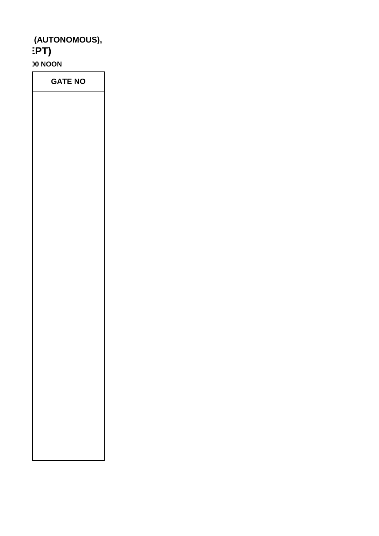### **LAUTONOMOUS),**<br> **PT END SEMESTER EXAMINATION 2021 (SEPT)**

**30 NOON** 

**GATE NO**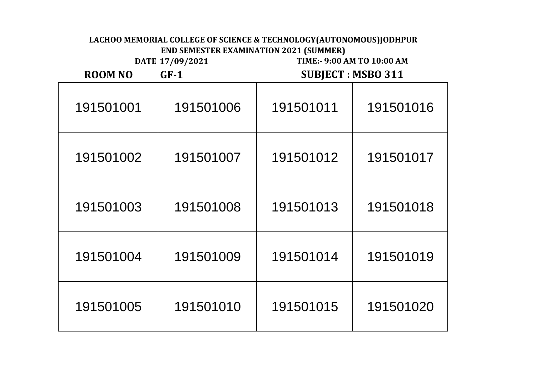#### **DATE 17/09/2021 ROOM NO GF-1 SUBJECT : MSBO 311 TIME:- 9:00 AM TO 10:00 AM LACHOO MEMORIAL COLLEGE OF SCIENCE & TECHNOLOGY(AUTONOMOUS)JODHPUR END SEMESTER EXAMINATION 2021 (SUMMER)**

| 191501001 | 191501006 | 191501011 | 191501016 |
|-----------|-----------|-----------|-----------|
| 191501002 | 191501007 | 191501012 | 191501017 |
| 191501003 | 191501008 | 191501013 | 191501018 |
| 191501004 | 191501009 | 191501014 | 191501019 |
| 191501005 | 191501010 | 191501015 | 191501020 |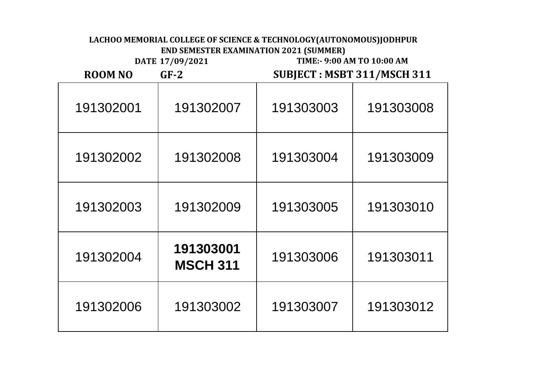**DATE 17/09/2021 TIME:- 9:00 AM TO 10:00 AM**

**ROOM NO GF-2**

**SUBJECT : MSBT 311/MSCH 311**

| 191302001 | 191302007                    | 191303003 | 191303008 |
|-----------|------------------------------|-----------|-----------|
| 191302002 | 191302008                    | 191303004 | 191303009 |
| 191302003 | 191302009                    | 191303005 | 191303010 |
| 191302004 | 191303001<br><b>MSCH 311</b> | 191303006 | 191303011 |
| 191302006 | 191303002                    | 191303007 | 191303012 |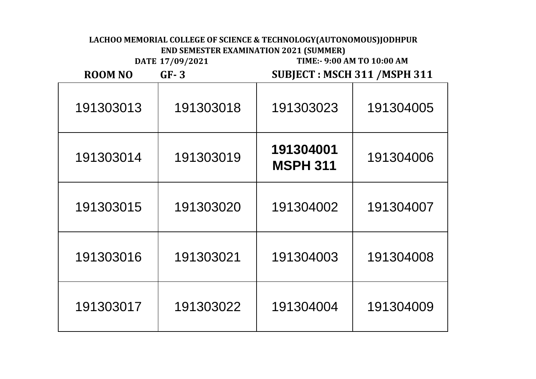**DATE 17/09/2021 TIME:- 9:00 AM TO 10:00 AM**

**ROOM NO GF- 3**

**SUBJECT : MSCH 311 /MSPH 311**

| 191303013 | 191303018 | 191303023                    | 191304005 |
|-----------|-----------|------------------------------|-----------|
| 191303014 | 191303019 | 191304001<br><b>MSPH 311</b> | 191304006 |
| 191303015 | 191303020 | 191304002                    | 191304007 |
| 191303016 | 191303021 | 191304003                    | 191304008 |
| 191303017 | 191303022 | 191304004                    | 191304009 |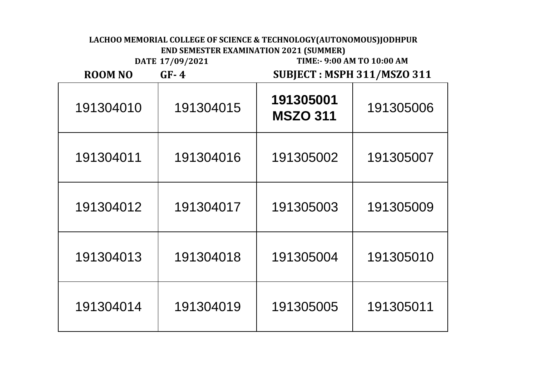**DATE 17/09/2021 TIME:- 9:00 AM TO 10:00 AM**

**ROOM NO GF- 4**

### **SUBJECT : MSPH 311/MSZO 311**

| 191304010 | 191304015 | 191305001<br><b>MSZO 311</b> | 191305006 |
|-----------|-----------|------------------------------|-----------|
| 191304011 | 191304016 | 191305002                    | 191305007 |
| 191304012 | 191304017 | 191305003                    | 191305009 |
| 191304013 | 191304018 | 191305004                    | 191305010 |
| 191304014 | 191304019 | 191305005                    | 191305011 |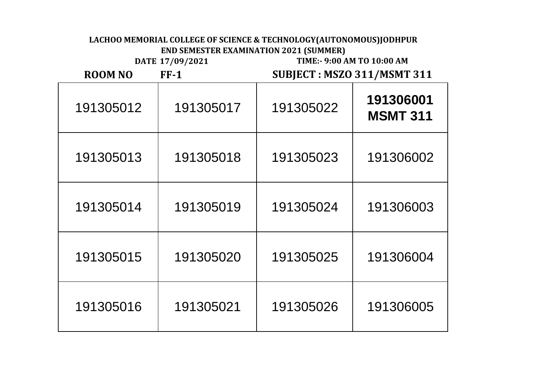**DATE 17/09/2021 TIME:- 9:00 AM TO 10:00 AM**

**SUBJECT : MSZO 311/MSMT 311**

┑

| $FF-1$ |
|--------|
|        |

| 191305012 | 191305017 | 191305022 | 191306001<br><b>MSMT 311</b> |
|-----------|-----------|-----------|------------------------------|
| 191305013 | 191305018 | 191305023 | 191306002                    |
| 191305014 | 191305019 | 191305024 | 191306003                    |
| 191305015 | 191305020 | 191305025 | 191306004                    |
| 191305016 | 191305021 | 191305026 | 191306005                    |